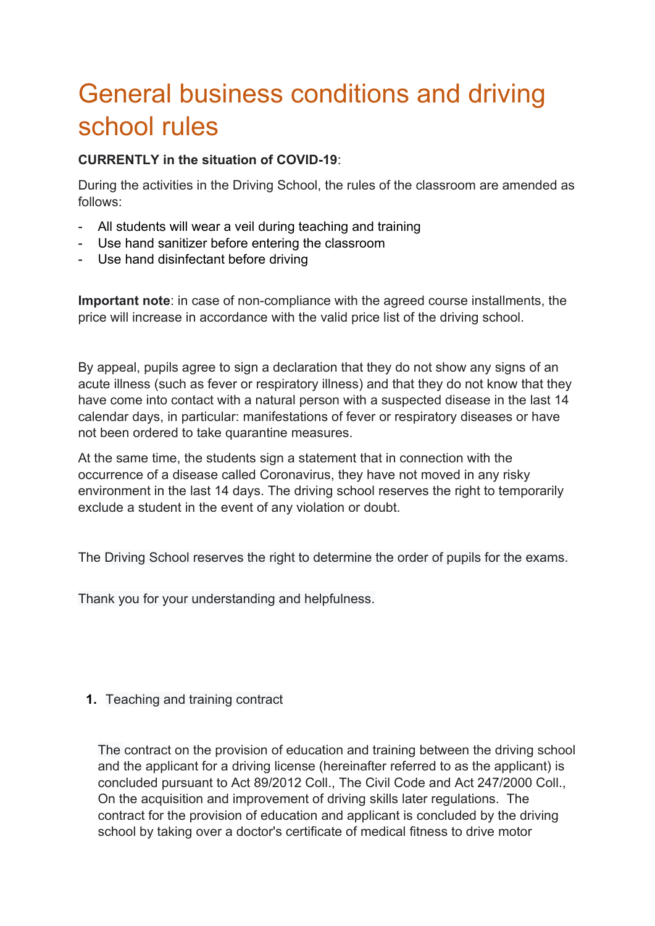# General business conditions and driving school rules

#### **CURRENTLY in the situation of COVID-19**:

During the activities in the Driving School, the rules of the classroom are amended as follows:

- All students will wear a veil during teaching and training
- Use hand sanitizer before entering the classroom
- Use hand disinfectant before driving

**Important note**: in case of non-compliance with the agreed course installments, the price will increase in accordance with the valid price list of the driving school.

By appeal, pupils agree to sign a declaration that they do not show any signs of an acute illness (such as fever or respiratory illness) and that they do not know that they have come into contact with a natural person with a suspected disease in the last 14 calendar days, in particular: manifestations of fever or respiratory diseases or have not been ordered to take quarantine measures.

At the same time, the students sign a statement that in connection with the occurrence of a disease called Coronavirus, they have not moved in any risky environment in the last 14 days. The driving school reserves the right to temporarily exclude a student in the event of any violation or doubt.

The Driving School reserves the right to determine the order of pupils for the exams.

Thank you for your understanding and helpfulness.

# **1.** Teaching and training contract

The contract on the provision of education and training between the driving school and the applicant for a driving license (hereinafter referred to as the applicant) is concluded pursuant to Act 89/2012 Coll., The Civil Code and Act 247/2000 Coll., On the acquisition and improvement of driving skills later regulations. The contract for the provision of education and applicant is concluded by the driving school by taking over a doctor's certificate of medical fitness to drive motor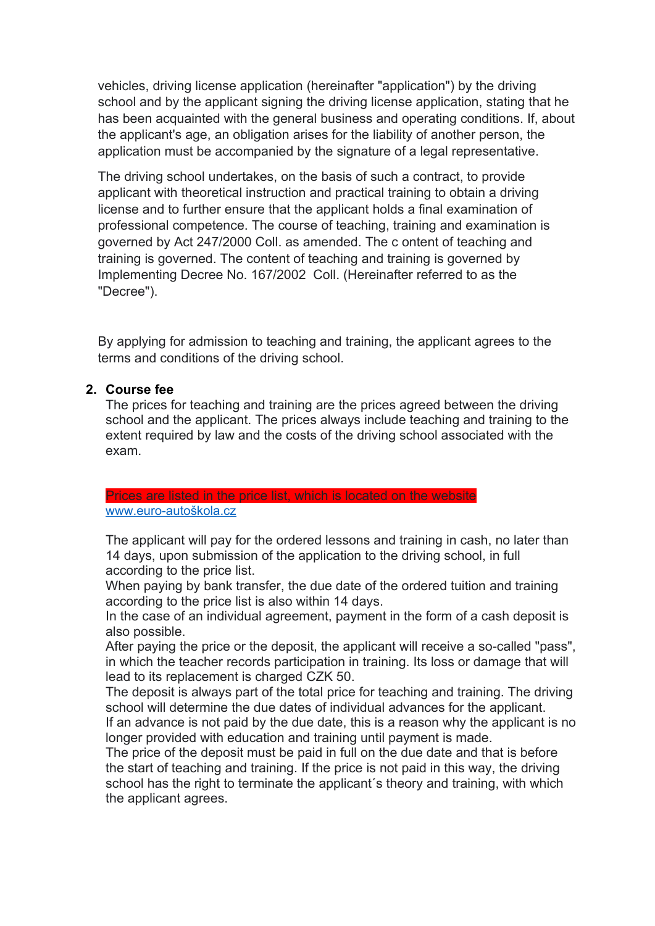vehicles, driving license application (hereinafter "application") by the driving school and by the applicant signing the driving license application, stating that he has been acquainted with the general business and operating conditions. If, about the applicant's age, an obligation arises for the liability of another person, the application must be accompanied by the signature of a legal representative.

The driving school undertakes, on the basis of such a contract, to provide applicant with theoretical instruction and practical training to obtain a driving license and to further ensure that the applicant holds a final examination of professional competence. The course of teaching, training and examination is governed by Act 247/2000 Coll. as amended. The c ontent of teaching and training is governed. The content of teaching and training is governed by Implementing Decree No. 167/2002 Coll. (Hereinafter referred to as the "Decree").

By applying for admission to teaching and training, the applicant agrees to the terms and conditions of the driving school.

#### **2. Course fee**

The prices for teaching and training are the prices agreed between the driving school and the applicant. The prices always include teaching and training to the extent required by law and the costs of the driving school associated with the exam.

#### Prices are listed in the price list, which is located on the website

#### [www.euro-autoškola.cz](http://www.xn--euro-autokola-juc.cz/)

The applicant will pay for the ordered lessons and training in cash, no later than 14 days, upon submission of the application to the driving school, in full according to the price list.

When paying by bank transfer, the due date of the ordered tuition and training according to the price list is also within 14 days.

In the case of an individual agreement, payment in the form of a cash deposit is also possible.

After paying the price or the deposit, the applicant will receive a so-called "pass", in which the teacher records participation in training. Its loss or damage that will lead to its replacement is charged CZK 50.

The deposit is always part of the total price for teaching and training. The driving school will determine the due dates of individual advances for the applicant.

If an advance is not paid by the due date, this is a reason why the applicant is no longer provided with education and training until payment is made.

The price of the deposit must be paid in full on the due date and that is before the start of teaching and training. If the price is not paid in this way, the driving school has the right to terminate the applicant's theory and training, with which the applicant agrees.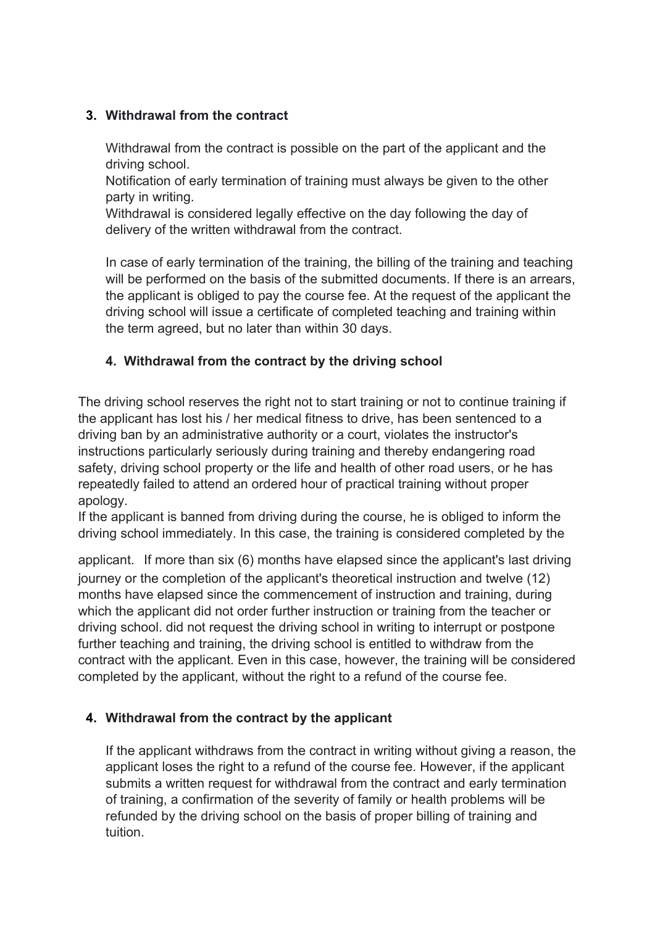### **3. Withdrawal from the contract**

Withdrawal from the contract is possible on the part of the applicant and the driving school.

Notification of early termination of training must always be given to the other party in writing.

Withdrawal is considered legally effective on the day following the day of delivery of the written withdrawal from the contract.

In case of early termination of the training, the billing of the training and teaching will be performed on the basis of the submitted documents. If there is an arrears, the applicant is obliged to pay the course fee. At the request of the applicant the driving school will issue a certificate of completed teaching and training within the term agreed, but no later than within 30 days.

### **4. Withdrawal from the contract by the driving school**

The driving school reserves the right not to start training or not to continue training if the applicant has lost his / her medical fitness to drive, has been sentenced to a driving ban by an administrative authority or a court, violates the instructor's instructions particularly seriously during training and thereby endangering road safety, driving school property or the life and health of other road users, or he has repeatedly failed to attend an ordered hour of practical training without proper apology.

If the applicant is banned from driving during the course, he is obliged to inform the driving school immediately. In this case, the training is considered completed by the

applicant. If more than six (6) months have elapsed since the applicant's last driving journey or the completion of the applicant's theoretical instruction and twelve (12) months have elapsed since the commencement of instruction and training, during which the applicant did not order further instruction or training from the teacher or driving school. did not request the driving school in writing to interrupt or postpone further teaching and training, the driving school is entitled to withdraw from the contract with the applicant. Even in this case, however, the training will be considered completed by the applicant, without the right to a refund of the course fee.

# **4. Withdrawal from the contract by the applicant**

If the applicant withdraws from the contract in writing without giving a reason, the applicant loses the right to a refund of the course fee. However, if the applicant submits a written request for withdrawal from the contract and early termination of training, a confirmation of the severity of family or health problems will be refunded by the driving school on the basis of proper billing of training and tuition.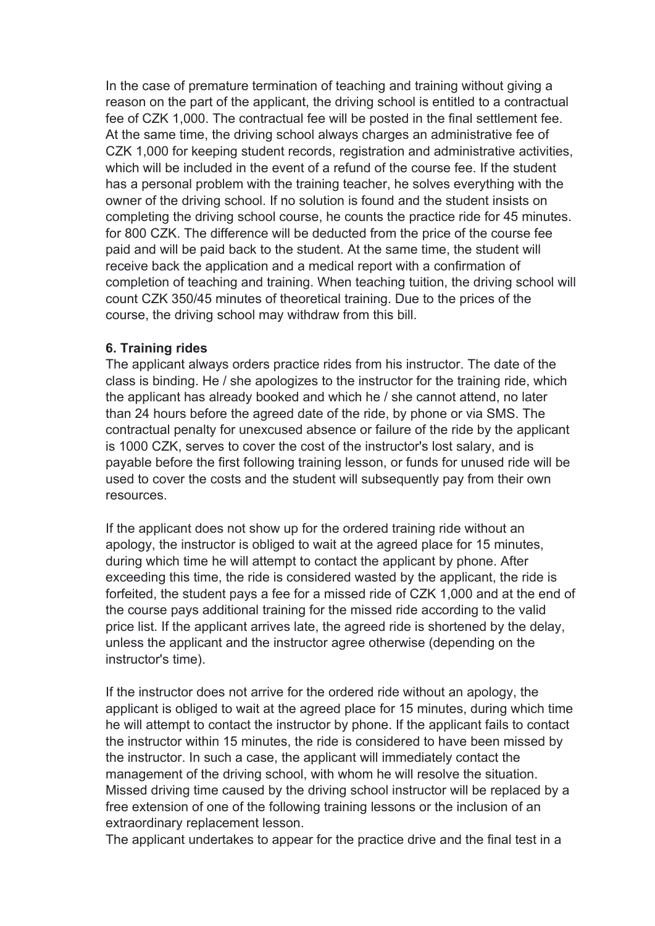In the case of premature termination of teaching and training without giving a reason on the part of the applicant, the driving school is entitled to a contractual fee of CZK 1,000. The contractual fee will be posted in the final settlement fee. At the same time, the driving school always charges an administrative fee of CZK 1,000 for keeping student records, registration and administrative activities, which will be included in the event of a refund of the course fee. If the student has a personal problem with the training teacher, he solves everything with the owner of the driving school. If no solution is found and the student insists on completing the driving school course, he counts the practice ride for 45 minutes. for 800 CZK. The difference will be deducted from the price of the course fee paid and will be paid back to the student. At the same time, the student will receive back the application and a medical report with a confirmation of completion of teaching and training. When teaching tuition, the driving school will count CZK 350/45 minutes of theoretical training. Due to the prices of the course, the driving school may withdraw from this bill.

#### **6. Training rides**

The applicant always orders practice rides from his instructor. The date of the class is binding. He / she apologizes to the instructor for the training ride, which the applicant has already booked and which he / she cannot attend, no later than 24 hours before the agreed date of the ride, by phone or via SMS. The contractual penalty for unexcused absence or failure of the ride by the applicant is 1000 CZK, serves to cover the cost of the instructor's lost salary, and is payable before the first following training lesson, or funds for unused ride will be used to cover the costs and the student will subsequently pay from their own resources.

If the applicant does not show up for the ordered training ride without an apology, the instructor is obliged to wait at the agreed place for 15 minutes, during which time he will attempt to contact the applicant by phone. After exceeding this time, the ride is considered wasted by the applicant, the ride is forfeited, the student pays a fee for a missed ride of CZK 1,000 and at the end of the course pays additional training for the missed ride according to the valid price list. If the applicant arrives late, the agreed ride is shortened by the delay, unless the applicant and the instructor agree otherwise (depending on the instructor's time).

If the instructor does not arrive for the ordered ride without an apology, the applicant is obliged to wait at the agreed place for 15 minutes, during which time he will attempt to contact the instructor by phone. If the applicant fails to contact the instructor within 15 minutes, the ride is considered to have been missed by the instructor. In such a case, the applicant will immediately contact the management of the driving school, with whom he will resolve the situation. Missed driving time caused by the driving school instructor will be replaced by a free extension of one of the following training lessons or the inclusion of an extraordinary replacement lesson.

The applicant undertakes to appear for the practice drive and the final test in a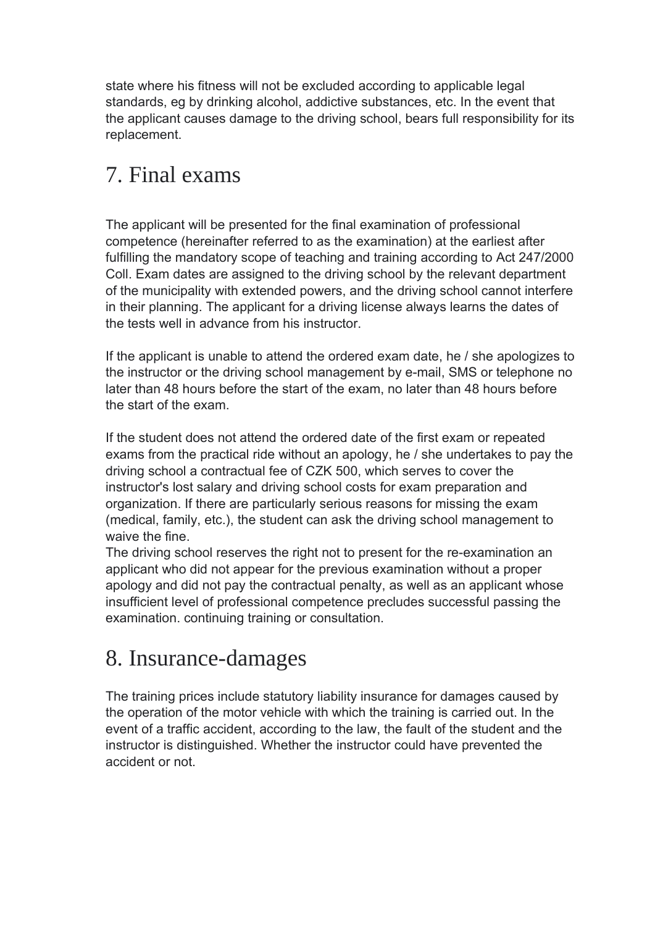state where his fitness will not be excluded according to applicable legal standards, eg by drinking alcohol, addictive substances, etc. In the event that the applicant causes damage to the driving school, bears full responsibility for its replacement.

# 7. Final exams

The applicant will be presented for the final examination of professional competence (hereinafter referred to as the examination) at the earliest after fulfilling the mandatory scope of teaching and training according to Act 247/2000 Coll. Exam dates are assigned to the driving school by the relevant department of the municipality with extended powers, and the driving school cannot interfere in their planning. The applicant for a driving license always learns the dates of the tests well in advance from his instructor.

If the applicant is unable to attend the ordered exam date, he / she apologizes to the instructor or the driving school management by e-mail, SMS or telephone no later than 48 hours before the start of the exam, no later than 48 hours before the start of the exam.

If the student does not attend the ordered date of the first exam or repeated exams from the practical ride without an apology, he / she undertakes to pay the driving school a contractual fee of CZK 500, which serves to cover the instructor's lost salary and driving school costs for exam preparation and organization. If there are particularly serious reasons for missing the exam (medical, family, etc.), the student can ask the driving school management to waive the fine.

The driving school reserves the right not to present for the re-examination an applicant who did not appear for the previous examination without a proper apology and did not pay the contractual penalty, as well as an applicant whose insufficient level of professional competence precludes successful passing the examination. continuing training or consultation.

# 8. Insurance-damages

The training prices include statutory liability insurance for damages caused by the operation of the motor vehicle with which the training is carried out. In the event of a traffic accident, according to the law, the fault of the student and the instructor is distinguished. Whether the instructor could have prevented the accident or not.